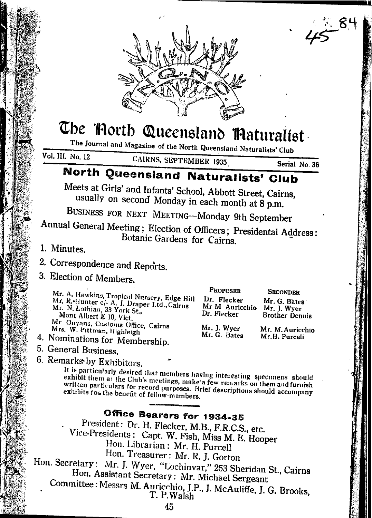

# The Torth Queensland Thaturalist

The Journal and Magazine of the North Queensland Naturalists' Club Vol. III. No. 12

CAIRNS. SEPTEMBER 1935

Serial No. 36

## North Queensland Naturalists' Club

Meets at Girls' and Infants' School, Abbott Street, Cairns, usually on second Monday in each month at 8 p.m.

BUSINESS FOR NEXT MEETING-Monday 9th September

Annual General Meeting; Election of Officers; Presidental Address: Botanic Gardens for Cairns.

- 1. Minutes.
- 2. Correspondence and Reports.
- 3. Election of Members.

Mr. A. Hawkins, Tropical Nursery, Edge H Mr. R.+Hunter c/- A. J. Draper Ltd., Cairns<br>Mr. N. Lothian, 33 York St., Mont Albert E 10, Vict. Mr Onyans, Customs Office, Cairns Mrs. W. Pittman, Highleigh

- 4. Nominations for Membership.
- 5. General Business.
- 6. Remarks by Exhibitors.

|     | <b>PROPOSER</b>                              | <b>SECONDER</b>                                      |
|-----|----------------------------------------------|------------------------------------------------------|
| ill | Dr. Flecker<br>Mr M Auricchio<br>Dr. Flecker | Mr. G. Bates<br>Mr. J. Wyer<br><b>Brother Dennis</b> |
|     | $M1$ . J. Wyer<br>Mr. G. Bates               | Mr. M. Auricchio<br>Mr.H. Purceli                    |

It is particularly desired that members having interesting specimens should exhibit them at the Club's meetings, make a few remarks on them and furnish written particulars for record purposes. Brief descriptions should accompany exhibits for the benefit of fellow-members.

## Office Bearers for 1934-35

President: Dr. H. Flecker, M.B., F.R.C.S., etc. Vice-Presidents: Capt. W. Fish, Miss M. E. Hooper Hon. Librarian: Mr. H. Purcell Hon. Treasurer: Mr. R. J. Gorton Hon. Secretary: Mr. J. Wyer, "Lochinvar," 253 Sheridan St., Cairns Hon. Assistant Secretary: Mr. Michael Sergeant Committee: Messrs M. Auricchio, J.P., J. McAuliffe, J. G. Brooks, T. P. Walsh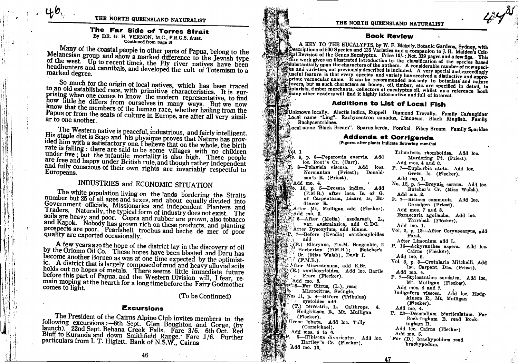### The Far Side of Torres Strait

By DR. G. H. VERNON, M.C., F.R.G.S. Aust. Continued from page 31

Many of the coastal people in other parts of Papua, belong to the Melanesian group and show a marked difference to the Jewish type of the west. Up to recent times, the Fly river natives have been headhunters and cannibals, and developed the cult of Totemism to a marked degree.

So much for the origin of local natives, which has been traced to an old established race, with primitive characteristics. It is surprising when one comes to know the modern representative, to find how little he differs from ourselves in many ways. But we now know that the members of the human race, whether hailing from the Papua or from the seats of culture in Europe, are after all very similar to one another

The Western native is peaceful, industrious, and fairly intelligent. His staple diet is Sego and his physique proves that Nature has provided him with a satisfactory one. I believe that on the whole, the birth rate is falling : there are said to be some villages with no children under five; but the infantile mortality is also high. These people are free and happy under British rule, and though rather independent and fully conscious of their own rights are invariably respectful to Europeans.

## INDUSTRIES and ECONOMIC SITUATION

The white population living on the lands bordering the Straits number but 25 of all ages and sexes, and about equally divided into Government officials, Missionaries and independent Planters and Traders. Naturally, the typical form of industry does not exist. The soils are heavy and poor. Copra and rubber are grown, also tobacco and Kapok. Nobody has grown rich on these products, and planting prospects are poor. Pearlshell, trochus and beche de mer of poor quality are exported occasionally.

A few years ago the hope of the district lay in the discovery of oil by the Oriomo Oil Co. These hopes have been blasted and Daru has become another Borneo as was at one time expected by the optimistic. A district that is largely composed of mud and heavy alluvial soils holds out no hopes of metals. There seems little immediate future before this part of Papua, and the Western Division\_will, I fear, remain moping at the hearth for a long time before the Fairy Godmother comes to light.

(To be Continued)

#### **Excursions**

The President of the Cairns Alpine Club invites members to the following excursions :- 8th Sept. Glen Boughton and Gorge, (by launch). 22nd Sept. Behana Creek Falls. Fare 3/6. 6th Oct. Red Bluff to Kuranda and down Smithfield Range. Fare 1/6. Further particulars from I. T. Higlett, Bank of N.S.W., Cairns

#### **Book Review**

A KEY TO THE EUCALYPTS, by W. F. Blakely, Botanic Gardens, Sydney, with Descriptions of 500 Species and 135 Varieties and a companion to J. H. Maiden's Critreal Revision of the Genus Eucalyptus. Price 10/-; Net. 339 pages and a few figs. This fine work gives an illustrated introduction to. the classification of the species based and work gives an interactors of the anthers. A considerable number of new speciles and varieties, not previously described is included. A very special and exceedingly distinctive and variety has received a distinctive and approstriate vernacular name. It can be recommended not only to botanists and nature priate vernacular name. It can be recommended not only to botanists and nature<br>sectovers, but as such characters as honey, oil, timber, etc. are specified in detail, to capiarists, timber merchants, collectors of eucalyptus oil, whilst as a reference book many other readers will find it highly informative and full of interest.

#### **Additions to List of Local Fish**

wUnknown locally. Alectis indica, Ruppell. Diamond Trevally. Family Carangidae Local name "Ling". Rachycentron canadus, Linnaeus, Black Kingfish. Family Rachycentridaes.

Local name "Black Bream". Sparus berda, Forskal. Pikey Bream. Family Sparidae

#### **Addenda et Corrigenda** (Figures after plants indicate flowering months)

Triumfetta rhomboidea. Add loc. No. 9, p. 6-Peperomia enervis. Add loc. Root's Cr. (Carr). 8-Polanisia viscosa. Add locs. Normanton (Priest); Donaldson's R. (Priest).  $^3$ Add mo. 4.  $\mathbb{N}$ o. 10, p. 5—Drosera indica. Add  $(F.M.B.)$  after locs. Is, of  $G.$ of Carpentaria, Lizard Is. Endeavor R. After Mt. Mulligan add (Flecker). Add mo. 5. P. 6-After (Melia) azedarach, L., var. australasica, add C.DC. After Dysoxylum, add Blume. Fig. 7-Before (Evodia) xanthoxyloides  $\mathbb{Z}$  ,  $\mathbb{Z}$ add (E.) Elleryana, F.v.M. Boogoobie, 2 Herberton (FAM.B.); Butcher's Cr. (Miss Walsh); Dunk I.  $(F.M.B.)$ . After Microstemma, add R.Br. (E.) xanthoxyloides. Add loc. Bartle Frere (Flecker). Add mo. 6. SP 8-For Citrus, (L.), read Microcitrus, Swingle. No. 11, p. 4-Before (Tribulus) eystoides add (T.) terrestris, L. Calthrops. 4. Hodgkinson R., Mt. Mulligan (Flecker). Urena lobata. Add loc. Tully (Carmichael). Add mos. 4 to 6. 5-Hibiscus divaricatus. Add loc. Hartley's Cr. (Flecker). Add mo. 10.

Vòl. 1

Murdering Pt. (Priest). Add mos. 4 and 6. P. 7-Euphorbia atoto. Add loc. Green Is. (Flecker). Add mo. 1. No. 12, p. 5-Breynia cernua. Add loc. Butcher's Cr. (Miss Walsh). Add mo. 2 P. 7-Ricinus communis. Add loc. Daradgee (Priest). Add mos. 7 and 8. Excaecaria agollacha. Add loc. Yarrabah (Flecker). Add mo. 1. Vol. 2, p. 12-After Corynocarpus, add Forst. After Limonium add L. P. 16-Achyranthes aspera. Add loc. Cairns (Flecker). Add mo. 5. Vol. 3, p. 3-Crotalaria Mitchelli. Add loc. Carpent. Dns. (Priest). Add mo. 4. P. 7-Stylosanthes sundaica. Add loc. Mt. Mulligan (Flecker). Add mos. 4 and 7. Indigofera viscosa. Add loc. Hodgkinson R., Mt. Mulligan  $(Flecker)$ . Add mo. 4. P. 23-Desmodium biarticulatum. For Rock-Ingham B. read Rockingham B. Add loc. Cairns (Flecker) Add mo. 5. For (D.) brachypobium read brachypodum.

46